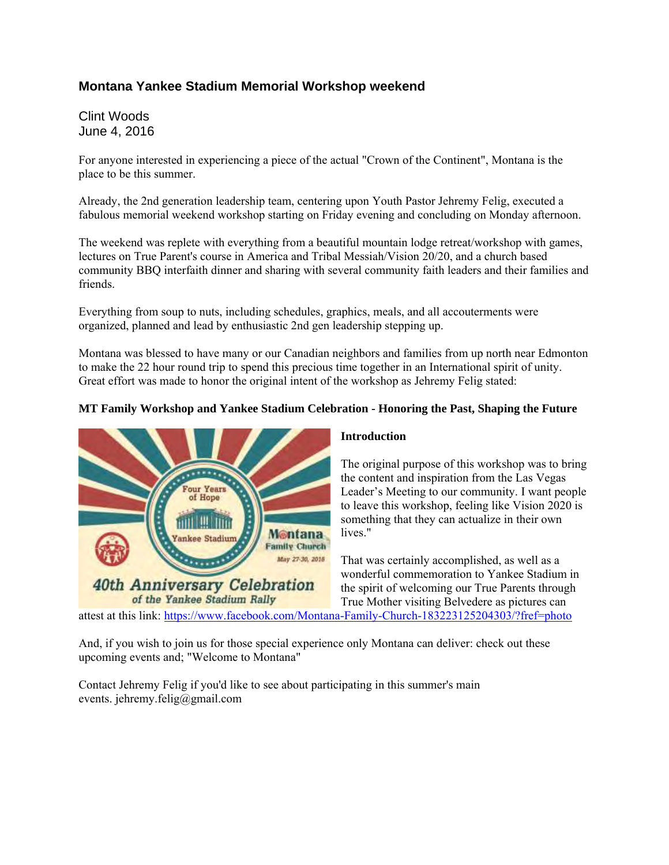## **Montana Yankee Stadium Memorial Workshop weekend**

Clint Woods June 4, 2016

For anyone interested in experiencing a piece of the actual "Crown of the Continent", Montana is the place to be this summer.

Already, the 2nd generation leadership team, centering upon Youth Pastor Jehremy Felig, executed a fabulous memorial weekend workshop starting on Friday evening and concluding on Monday afternoon.

The weekend was replete with everything from a beautiful mountain lodge retreat/workshop with games, lectures on True Parent's course in America and Tribal Messiah/Vision 20/20, and a church based community BBQ interfaith dinner and sharing with several community faith leaders and their families and friends.

Everything from soup to nuts, including schedules, graphics, meals, and all accouterments were organized, planned and lead by enthusiastic 2nd gen leadership stepping up.

Montana was blessed to have many or our Canadian neighbors and families from up north near Edmonton to make the 22 hour round trip to spend this precious time together in an International spirit of unity. Great effort was made to honor the original intent of the workshop as Jehremy Felig stated:

### **MT Family Workshop and Yankee Stadium Celebration - Honoring the Past, Shaping the Future**



#### **Introduction**

The original purpose of this workshop was to bring the content and inspiration from the Las Vegas Leader's Meeting to our community. I want people to leave this workshop, feeling like Vision 2020 is something that they can actualize in their own lives."

That was certainly accomplished, as well as a wonderful commemoration to Yankee Stadium in the spirit of welcoming our True Parents through True Mother visiting Belvedere as pictures can

attest at this link: https://www.facebook.com/Montana-Family-Church-183223125204303/?fref=photo

And, if you wish to join us for those special experience only Montana can deliver: check out these upcoming events and; "Welcome to Montana"

Contact Jehremy Felig if you'd like to see about participating in this summer's main events. jehremy.felig@gmail.com